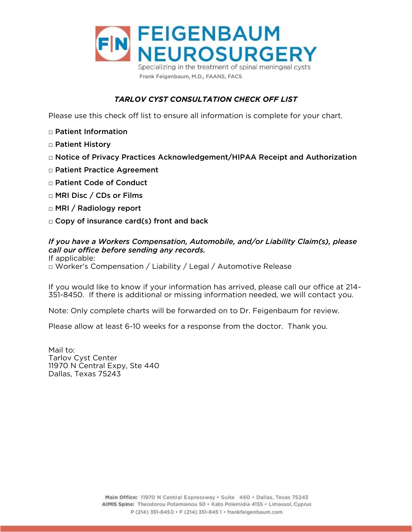

# *TARLOV CYST CONSULTATION CHECK OFF LIST*

Please use this check off list to ensure all information is complete for your chart.

- □ Patient Information
- □ Patient History
- □ Notice of Privacy Practices Acknowledgement/HIPAA Receipt and Authorization
- □ Patient Practice Agreement
- □ Patient Code of Conduct
- □ MRI Disc / CDs or Films
- □ MRI / Radiology report
- □ Copy of insurance card(s) front and back

## *If you have a Workers Compensation, Automobile, and/or Liability Claim(s), please call our office before sending any records.*

□ Worker's Compensation / Liability / Legal / Automotive Release

If you would like to know if your information include an early please can can chose at 214- $\frac{3}{5}$  and there is additional or missing information needed, we will contact you.

Note: Only complete charts will be forwarded on to Dr. Feigenbaum for review.

Please allow at least 6-10 weeks for a response from the doctor. Thank you.

Mail to: Tarlov Cyst Center 11970 N Central Expy, Ste 440 Dallas, Texas 75243 Dallas, Texas 75243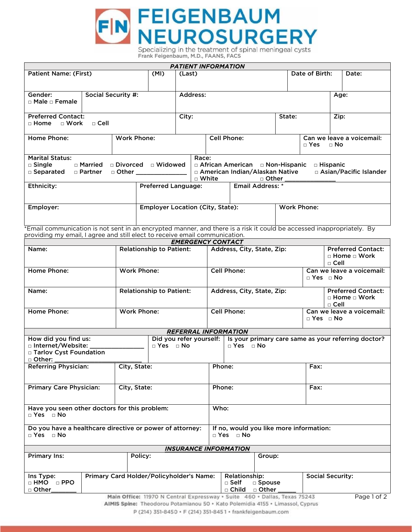

Frank Feigenbaum, M.D., FAANS, FACS

| <b>PATIENT INFORMATION</b>                                                                                                                                                                                                                                                                                                                                                                                                                                                                                                  |                           |  |        |                    |                                                                                                                 |        |                                                      |      |                                    |
|-----------------------------------------------------------------------------------------------------------------------------------------------------------------------------------------------------------------------------------------------------------------------------------------------------------------------------------------------------------------------------------------------------------------------------------------------------------------------------------------------------------------------------|---------------------------|--|--------|--------------------|-----------------------------------------------------------------------------------------------------------------|--------|------------------------------------------------------|------|------------------------------------|
| (MI)<br><b>Patient Name: (First)</b>                                                                                                                                                                                                                                                                                                                                                                                                                                                                                        |                           |  | (Last) |                    |                                                                                                                 |        | Date of Birth:                                       |      | Date:                              |
| Gender:<br>$\Box$ Male $\Box$ Female                                                                                                                                                                                                                                                                                                                                                                                                                                                                                        | <b>Social Security #:</b> |  |        |                    | Address:                                                                                                        |        |                                                      |      |                                    |
| <b>Preferred Contact:</b><br>$\Box$ Cell<br>$\Box$ Home $\Box$ Work                                                                                                                                                                                                                                                                                                                                                                                                                                                         |                           |  | City:  |                    |                                                                                                                 | State: |                                                      | Zip: |                                    |
| Home Phone:<br><b>Work Phone:</b>                                                                                                                                                                                                                                                                                                                                                                                                                                                                                           |                           |  |        | <b>Cell Phone:</b> |                                                                                                                 |        | $\Box$ Yes $\Box$ No                                 |      | Can we leave a voicemail:          |
| <b>Marital Status:</b><br>Race:<br>□ Divorced □ Widowed<br>□ Married<br>□ African American □ Non-Hispanic<br>$\Box$ Single<br>$\Box$ Hispanic<br>□ Asian/Pacific Islander<br>□ American Indian/Alaskan Native<br>□ Separated<br>$\Box$ Other $\Box$ Other $\Box$<br>□ Partner<br>$\sqcap$ White<br>□ Other                                                                                                                                                                                                                  |                           |  |        |                    |                                                                                                                 |        |                                                      |      |                                    |
| Ethnicity:<br><b>Preferred Language:</b>                                                                                                                                                                                                                                                                                                                                                                                                                                                                                    |                           |  |        |                    | <b>Email Address: *</b>                                                                                         |        |                                                      |      |                                    |
| Employer:<br><b>Employer Location (City, State):</b><br>the company of the company of the company of the company of the company of the company of the company of the company of the company of the company of the company of the company of the company of the company of the company<br>$\bullet$ . The state of the state of the state of the state of the state of the state of the state of the state of the state of the state of the state of the state of the state of the state of the state of the state of the st |                           |  |        |                    | the contract of the contract of the contract of the contract of the contract of the contract of the contract of |        | <b>Work Phone:</b><br>the property of the control of |      | $\sim$ $\sim$ $\sim$ $\sim$ $\sim$ |

providing my email. Lagree and still elect to receive email communication.

|                                                                                                        |  |                                 | <b>EMERGENCY CONTACT</b>                                                                                                                                   |                                                                 |                      |        |                                                                       |                                                     |  |
|--------------------------------------------------------------------------------------------------------|--|---------------------------------|------------------------------------------------------------------------------------------------------------------------------------------------------------|-----------------------------------------------------------------|----------------------|--------|-----------------------------------------------------------------------|-----------------------------------------------------|--|
| Name:                                                                                                  |  | <b>Relationship to Patient:</b> |                                                                                                                                                            | Address, City, State, Zip:                                      |                      |        | <b>Preferred Contact:</b><br>$\Box$ Home $\Box$ Work<br>$\sqcap$ Cell |                                                     |  |
| Home Phone:                                                                                            |  | <b>Work Phone:</b>              |                                                                                                                                                            | <b>Cell Phone:</b>                                              |                      |        | Can we leave a voicemail:<br>$\Box$ Yes $\Box$ No                     |                                                     |  |
| Name:                                                                                                  |  | <b>Relationship to Patient:</b> |                                                                                                                                                            | Address, City, State, Zip:                                      |                      |        | <b>Preferred Contact:</b><br>$\Box$ Home $\Box$ Work<br>$\Box$ Cell   |                                                     |  |
| Home Phone:                                                                                            |  | <b>Work Phone:</b>              |                                                                                                                                                            | <b>Cell Phone:</b>                                              |                      |        | Can we leave a voicemail:<br>$\Box$ Yes $\Box$ No                     |                                                     |  |
|                                                                                                        |  |                                 | <b>REFERRAL INFORMATION</b>                                                                                                                                |                                                                 |                      |        |                                                                       |                                                     |  |
| How did you find us:<br>□ Internet/Website:<br>□ Yes □ No<br>□ Tarlov Cyst Foundation<br>$\Box$ Other: |  |                                 | Did you refer yourself:                                                                                                                                    |                                                                 | $\Box$ Yes $\Box$ No |        |                                                                       | Is your primary care same as your referring doctor? |  |
| <b>Referring Physician:</b>                                                                            |  | City, State:                    |                                                                                                                                                            | Phone:                                                          |                      |        | Fax:                                                                  |                                                     |  |
| <b>Primary Care Physician:</b>                                                                         |  | City, State:                    |                                                                                                                                                            | Phone:                                                          |                      | Fax:   |                                                                       |                                                     |  |
| Have you seen other doctors for this problem:<br>$\Box$ Yes $\Box$ No                                  |  |                                 |                                                                                                                                                            | Who:                                                            |                      |        |                                                                       |                                                     |  |
| □ Yes □ No                                                                                             |  |                                 | Do you have a healthcare directive or power of attorney:                                                                                                   | If no, would you like more information:<br>$\neg$ Yes $\neg$ No |                      |        |                                                                       |                                                     |  |
|                                                                                                        |  |                                 | <b>INSURANCE INFORMATION</b>                                                                                                                               |                                                                 |                      |        |                                                                       |                                                     |  |
| <b>Primary Ins:</b>                                                                                    |  | Policy:                         |                                                                                                                                                            |                                                                 |                      | Group: |                                                                       |                                                     |  |
| Primary Card Holder/Policyholder's Name:<br>Ins Type:<br>$\Box$ HMO $\Box$ PPO<br>□ Other              |  |                                 |                                                                                                                                                            | Relationship:<br>$\square$ Self<br>□ Child □ Other              | □ Spouse             |        | <b>Social Security:</b>                                               |                                                     |  |
|                                                                                                        |  |                                 | Main Office: 11970 N Central Expressway · Suite 460 · Dallas, Texas 75243<br>AIMIS Spine: Theodorou Potamianou 50 · Kato Polemidia 4155 · Limassol, Cyprus |                                                                 |                      |        |                                                                       | Page 1 of 2                                         |  |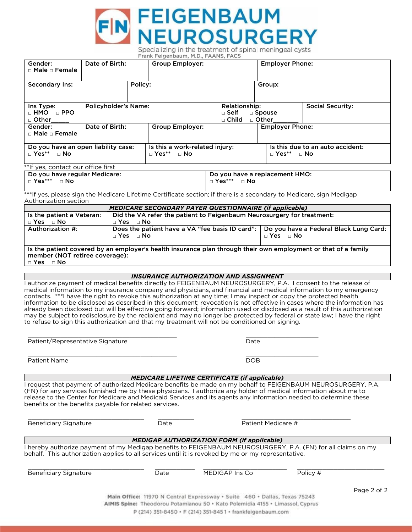

| Gender:<br>□ Male □ Female                                                                                                                                               | Date of Birth: |                                    | <b>Group Employer:</b>                                                                                                                                                                                                                                                                                                                                                                                                                                                                                                                                                                                                                                                                                                                                                                                                                             |                                         |  | <b>Employer Phone:</b>                                     |          |                                        |  |
|--------------------------------------------------------------------------------------------------------------------------------------------------------------------------|----------------|------------------------------------|----------------------------------------------------------------------------------------------------------------------------------------------------------------------------------------------------------------------------------------------------------------------------------------------------------------------------------------------------------------------------------------------------------------------------------------------------------------------------------------------------------------------------------------------------------------------------------------------------------------------------------------------------------------------------------------------------------------------------------------------------------------------------------------------------------------------------------------------------|-----------------------------------------|--|------------------------------------------------------------|----------|----------------------------------------|--|
| Secondary Ins:                                                                                                                                                           |                | Policy:                            |                                                                                                                                                                                                                                                                                                                                                                                                                                                                                                                                                                                                                                                                                                                                                                                                                                                    |                                         |  | Group:                                                     |          |                                        |  |
| Ins Type:<br>$\Box$ HMO $\Box$ PPO<br>□ Other                                                                                                                            |                | <b>Policyholder's Name:</b>        |                                                                                                                                                                                                                                                                                                                                                                                                                                                                                                                                                                                                                                                                                                                                                                                                                                                    | Relationship:<br>□ Self<br>$\Box$ Child |  | <b>Social Security:</b><br>□ Spouse<br>□ Other             |          |                                        |  |
| Gender:<br>$\Box$ Male $\Box$ Female                                                                                                                                     | Date of Birth: |                                    | <b>Group Employer:</b>                                                                                                                                                                                                                                                                                                                                                                                                                                                                                                                                                                                                                                                                                                                                                                                                                             |                                         |  | <b>Employer Phone:</b>                                     |          |                                        |  |
| Do you have an open liability case:<br>$\Box$ Yes**<br>$\sqcap$ No                                                                                                       |                |                                    | Is this a work-related injury:<br>$\Box$ Yes** $\Box$ No                                                                                                                                                                                                                                                                                                                                                                                                                                                                                                                                                                                                                                                                                                                                                                                           |                                         |  | Is this due to an auto accident:<br>$\Box$ Yes** $\Box$ No |          |                                        |  |
| **If yes, contact our office first<br>Do you have regular Medicare:<br>$\Box$ Yes*** $\Box$ No                                                                           |                |                                    |                                                                                                                                                                                                                                                                                                                                                                                                                                                                                                                                                                                                                                                                                                                                                                                                                                                    | □ Yes*** □ No                           |  | Do you have a replacement HMO:                             |          |                                        |  |
| Authorization section                                                                                                                                                    |                |                                    | ***If yes, please sign the Medicare Lifetime Certificate section; if there is a secondary to Medicare, sign Medigap                                                                                                                                                                                                                                                                                                                                                                                                                                                                                                                                                                                                                                                                                                                                |                                         |  |                                                            |          |                                        |  |
| Is the patient a Veteran:                                                                                                                                                |                |                                    | <b>MEDICARE SECONDARY PAYER QUESTIONNAIRE (if applicable)</b><br>Did the VA refer the patient to Feigenbaum Neurosurgery for treatment:                                                                                                                                                                                                                                                                                                                                                                                                                                                                                                                                                                                                                                                                                                            |                                         |  |                                                            |          |                                        |  |
| $\Box$ Yes $\Box$ No<br>Authorization #:                                                                                                                                 |                | $\Box$ Yes $\Box$ No<br>□ Yes □ No | Does the patient have a VA "fee basis ID card":                                                                                                                                                                                                                                                                                                                                                                                                                                                                                                                                                                                                                                                                                                                                                                                                    |                                         |  | $\Box$ Yes $\Box$ No                                       |          | Do you have a Federal Black Lung Card: |  |
| Is the patient covered by an employer's health insurance plan through their own employment or that of a family<br>member (NOT retiree coverage):<br>$\Box$ Yes $\Box$ No |                |                                    |                                                                                                                                                                                                                                                                                                                                                                                                                                                                                                                                                                                                                                                                                                                                                                                                                                                    |                                         |  |                                                            |          |                                        |  |
|                                                                                                                                                                          |                |                                    | <b>INSURANCE AUTHORIZATION AND ASSIGNMENT</b>                                                                                                                                                                                                                                                                                                                                                                                                                                                                                                                                                                                                                                                                                                                                                                                                      |                                         |  |                                                            |          |                                        |  |
|                                                                                                                                                                          |                |                                    | I authorize payment of medical benefits directly to FEIGENBAUM NEUROSURGERY, P.A. I consent to the release of<br>medical information to my insurance company and physicians, and financial and medical information to my emergency<br>contacts. ***I have the right to revoke this authorization at any time; I may inspect or copy the protected health<br>information to be disclosed as described in this document; revocation is not effective in cases where the information has<br>already been disclosed but will be effective going forward; information used or disclosed as a result of this authorization<br>may be subject to redisclosure by the recipient and may no longer be protected by federal or state law; I have the right<br>to refuse to sign this authorization and that my treatment will not be conditioned on signing. |                                         |  |                                                            |          |                                        |  |
| Patient/Representative Signature                                                                                                                                         |                |                                    |                                                                                                                                                                                                                                                                                                                                                                                                                                                                                                                                                                                                                                                                                                                                                                                                                                                    | Date                                    |  |                                                            |          |                                        |  |
| Patient Name                                                                                                                                                             |                |                                    |                                                                                                                                                                                                                                                                                                                                                                                                                                                                                                                                                                                                                                                                                                                                                                                                                                                    | $\overline{DOB}$                        |  |                                                            |          |                                        |  |
|                                                                                                                                                                          |                |                                    | <b>MEDICARE LIFETIME CERTIFICATE (if applicable)</b>                                                                                                                                                                                                                                                                                                                                                                                                                                                                                                                                                                                                                                                                                                                                                                                               |                                         |  |                                                            |          |                                        |  |
| benefits or the benefits payable for related services.                                                                                                                   |                |                                    | I request that payment of authorized Medicare benefits be made on my behalf to FEIGENBAUM NEUROSURGERY, P.A.<br>(FN) for any services furnished me by these physicians. I authorize any holder of medical information about me to<br>release to the Center for Medicare and Medicaid Services and its agents any information needed to determine these                                                                                                                                                                                                                                                                                                                                                                                                                                                                                             |                                         |  |                                                            |          |                                        |  |
| Patient Medicare #<br><b>Beneficiary Signature</b><br>Date                                                                                                               |                |                                    |                                                                                                                                                                                                                                                                                                                                                                                                                                                                                                                                                                                                                                                                                                                                                                                                                                                    |                                         |  |                                                            |          |                                        |  |
|                                                                                                                                                                          |                |                                    | <b>MEDIGAP AUTHORIZATION FORM (if applicable)</b>                                                                                                                                                                                                                                                                                                                                                                                                                                                                                                                                                                                                                                                                                                                                                                                                  |                                         |  |                                                            |          |                                        |  |
|                                                                                                                                                                          |                |                                    | I hereby authorize payment of my Medigap benefits to FEIGENBAUM NEUROSURGERY, P.A. (FN) for all claims on my<br>behalf. This authorization applies to all services until it is revoked by me or my representative.                                                                                                                                                                                                                                                                                                                                                                                                                                                                                                                                                                                                                                 |                                         |  |                                                            |          |                                        |  |
| <b>Beneficiary Signature</b>                                                                                                                                             |                |                                    | Date                                                                                                                                                                                                                                                                                                                                                                                                                                                                                                                                                                                                                                                                                                                                                                                                                                               | MEDIGAP Ins Co                          |  |                                                            | Policy # |                                        |  |
|                                                                                                                                                                          |                |                                    | Main Office: 11970 N Central Expressway · Suite 460 · Dallas, Texas 75243                                                                                                                                                                                                                                                                                                                                                                                                                                                                                                                                                                                                                                                                                                                                                                          |                                         |  |                                                            |          | Page 2 of 2                            |  |
|                                                                                                                                                                          |                |                                    | AIMIS Spine: Theodorou Potamianou 50 · Kato Polemidia 4155 · Limassol, Cyprus                                                                                                                                                                                                                                                                                                                                                                                                                                                                                                                                                                                                                                                                                                                                                                      |                                         |  |                                                            |          |                                        |  |
|                                                                                                                                                                          |                |                                    | P (214) 351-8450 · F (214) 351-8451 · frankfeigenbaum.com                                                                                                                                                                                                                                                                                                                                                                                                                                                                                                                                                                                                                                                                                                                                                                                          |                                         |  |                                                            |          |                                        |  |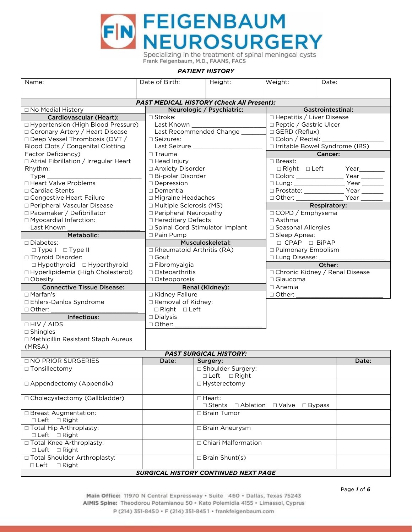

| Name:                                            | Date of Birth:                                    | Height:                              | Weight:<br>Date:                               |                          |  |  |  |  |  |
|--------------------------------------------------|---------------------------------------------------|--------------------------------------|------------------------------------------------|--------------------------|--|--|--|--|--|
|                                                  |                                                   |                                      |                                                |                          |  |  |  |  |  |
| <b>PAST MEDICAL HISTORY (Check All Present):</b> |                                                   |                                      |                                                |                          |  |  |  |  |  |
| □ No Medial History                              |                                                   | Neurologic / Psychiatric:            |                                                | <b>Gastrointestinal:</b> |  |  |  |  |  |
| Cardiovascular (Heart):                          | □ Stroke:                                         |                                      | □ Hepatitis / Liver Disease                    |                          |  |  |  |  |  |
| □ Hypertension (High Blood Pressure)             |                                                   |                                      | □ Peptic / Gastric Ulcer                       |                          |  |  |  |  |  |
| □ Coronary Artery / Heart Disease                |                                                   | Last Recommended Change              | □ GERD (Reflux)                                |                          |  |  |  |  |  |
| □ Deep Vessel Thrombosis (DVT /                  | $\Box$ Seizures:                                  |                                      | $\Box$ Colon / Rectal: $\Box$                  |                          |  |  |  |  |  |
| Blood Clots / Congenital Clotting                |                                                   |                                      | □ Irritable Bowel Syndrome (IBS)               |                          |  |  |  |  |  |
| Factor Deficiency)                               | $\Box$ Trauma                                     |                                      | <b>Cancer:</b>                                 |                          |  |  |  |  |  |
| □ Atrial Fibrillation / Irregular Heart          | $\Box$ Head Injury                                |                                      | □ Breast:                                      |                          |  |  |  |  |  |
| Rhythm:                                          | □ Anxiety Disorder                                |                                      | □ Right □ Left Year_____                       |                          |  |  |  |  |  |
| $Type_$                                          | □ Bi-polar Disorder                               |                                      | □ Colon: _______________________ Year ________ |                          |  |  |  |  |  |
| □ Heart Valve Problems                           | $\square$ Depression                              |                                      |                                                |                          |  |  |  |  |  |
| □ Cardiac Stents                                 | $\square$ Dementia                                |                                      | □ Prostate: _________________ Year ________    |                          |  |  |  |  |  |
| □ Congestive Heart Failure                       | □ Migraine Headaches                              |                                      | □ Other: ____________                          | Year $\frac{\ }{\ }$     |  |  |  |  |  |
| □ Peripheral Vascular Disease                    | □ Multiple Sclerosis (MS)                         |                                      | Respiratory:                                   |                          |  |  |  |  |  |
| □ Pacemaker / Defibrillator                      | □ Peripheral Neuropathy                           |                                      | □ COPD / Emphysema                             |                          |  |  |  |  |  |
| □ Myocardial Infarction:                         | □ Hereditary Defects                              |                                      | $\Box$ Asthma                                  |                          |  |  |  |  |  |
| Last Known                                       |                                                   | □ Spinal Cord Stimulator Implant     | □ Seasonal Allergies                           |                          |  |  |  |  |  |
| Metabolic:                                       | □ Pain Pump                                       |                                      | $\Box$ Sleep Apnea:                            |                          |  |  |  |  |  |
| $\Box$ Diabetes:                                 |                                                   | Musculoskeletal:                     | □ CPAP □ BiPAP                                 |                          |  |  |  |  |  |
| □ Type I □ Type II                               | $\Box$ Rheumatoid Arthritis (RA)                  |                                      | □ Pulmonary Embolism                           |                          |  |  |  |  |  |
| □ Thyroid Disorder:                              | □ Gout                                            |                                      | □ Lung Disease: _                              |                          |  |  |  |  |  |
| $\Box$ Hypothyroid $\Box$ Hyperthyroid           | □ Fibromyalgia                                    |                                      | Other:                                         |                          |  |  |  |  |  |
| □ Hyperlipidemia (High Cholesterol)              | □ Osteoarthritis                                  |                                      | □ Chronic Kidney / Renal Disease               |                          |  |  |  |  |  |
| $\Box$ Obesity                                   | $\Box$ Osteoporosis                               |                                      | $\Box$ Glaucoma                                |                          |  |  |  |  |  |
| <b>Connective Tissue Disease:</b>                |                                                   | Renal (Kidney):                      | $\Box$ Anemia                                  |                          |  |  |  |  |  |
| $\Box$ Marfan's                                  | □ Kidney Failure                                  |                                      | $\Box$ Other:                                  |                          |  |  |  |  |  |
| □ Ehlers-Danlos Syndrome                         | □ Removal of Kidney:                              |                                      |                                                |                          |  |  |  |  |  |
| $\Box$ Other:                                    | $\Box$ Right $\Box$ Left                          |                                      |                                                |                          |  |  |  |  |  |
| Infectious:                                      | $\Box$ Dialysis                                   |                                      |                                                |                          |  |  |  |  |  |
| $\Box$ HIV / AIDS                                | $\Box$ Other: $\_\_$                              |                                      |                                                |                          |  |  |  |  |  |
| $\square$ Shingles                               |                                                   |                                      |                                                |                          |  |  |  |  |  |
| □ Methicillin Resistant Staph Aureus             |                                                   |                                      |                                                |                          |  |  |  |  |  |
| (MRSA)                                           |                                                   |                                      |                                                |                          |  |  |  |  |  |
|                                                  |                                                   | <b>PAST SURGICAL HISTORY:</b>        |                                                |                          |  |  |  |  |  |
| □ NO PRIOR SURGERIES                             | Date:                                             | Surgery:                             |                                                | Date:                    |  |  |  |  |  |
| $\Box$ Tonsillectomy                             |                                                   | □ Shoulder Surgery:                  |                                                |                          |  |  |  |  |  |
|                                                  |                                                   | □ Left □ Right                       |                                                |                          |  |  |  |  |  |
| □ Appendectomy (Appendix)                        |                                                   | □ Hysterectomy                       |                                                |                          |  |  |  |  |  |
| □ Cholecystectomy (Gallbladder)                  |                                                   | $\Box$ Heart:                        |                                                |                          |  |  |  |  |  |
|                                                  | □ Stents □ Ablation<br>$\Box$ Valve $\Box$ Bypass |                                      |                                                |                          |  |  |  |  |  |
| □ Breast Augmentation:                           |                                                   | □ Brain Tumor                        |                                                |                          |  |  |  |  |  |
| $\Box$ Left $\Box$ Right                         |                                                   |                                      |                                                |                          |  |  |  |  |  |
| □ Total Hip Arthroplasty:<br>□ Left □ Right      |                                                   | □ Brain Aneurysm                     |                                                |                          |  |  |  |  |  |
| □ Total Knee Arthroplasty:                       |                                                   | □ Chiari Malformation                |                                                |                          |  |  |  |  |  |
| □ Left □ Right                                   |                                                   |                                      |                                                |                          |  |  |  |  |  |
| □ Total Shoulder Arthroplasty:                   |                                                   | $\Box$ Brain Shunt(s)                |                                                |                          |  |  |  |  |  |
| $\square$ Left<br>$\Box$ Right                   |                                                   | SUDGICAL HISTODY CONTINUED NEYT DAGE |                                                |                          |  |  |  |  |  |

## *SURGICAL HISTORY CONTINUED NEXT PAGE*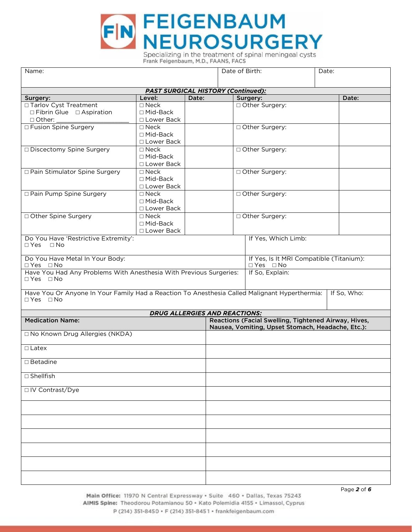

| Name:                                                                                                                 |                                           | Date of Birth:      |                                                                  | Date:                                                |  |             |  |
|-----------------------------------------------------------------------------------------------------------------------|-------------------------------------------|---------------------|------------------------------------------------------------------|------------------------------------------------------|--|-------------|--|
|                                                                                                                       |                                           |                     |                                                                  |                                                      |  |             |  |
|                                                                                                                       | <b>PAST SURGICAL HISTORY (Continued):</b> |                     |                                                                  |                                                      |  |             |  |
| Surgery:                                                                                                              | Level:                                    | Date:               |                                                                  | Surgery:                                             |  | Date:       |  |
| □ Tarlov Cyst Treatment                                                                                               | $\square$ Neck                            |                     |                                                                  | □ Other Surgery:                                     |  |             |  |
| $\Box$ Fibrin Glue $\Box$ Aspiration                                                                                  | $\Box$ Mid-Back                           |                     |                                                                  |                                                      |  |             |  |
| $\Box$ Other:                                                                                                         | □ Lower Back                              |                     |                                                                  |                                                      |  |             |  |
| □ Fusion Spine Surgery                                                                                                | $\Box$ Neck                               |                     |                                                                  | □ Other Surgery:                                     |  |             |  |
|                                                                                                                       | $\Box$ Mid-Back                           |                     |                                                                  |                                                      |  |             |  |
|                                                                                                                       | □ Lower Back                              |                     |                                                                  |                                                      |  |             |  |
| □ Discectomy Spine Surgery                                                                                            | $\square$ Neck                            |                     |                                                                  | Other Surgery:                                       |  |             |  |
|                                                                                                                       | □ Mid-Back                                |                     |                                                                  |                                                      |  |             |  |
|                                                                                                                       | □ Lower Back                              |                     |                                                                  |                                                      |  |             |  |
| □ Pain Stimulator Spine Surgery                                                                                       | $\square$ Neck                            |                     |                                                                  | □ Other Surgery:                                     |  |             |  |
|                                                                                                                       | $\Box$ Mid-Back                           |                     |                                                                  |                                                      |  |             |  |
|                                                                                                                       | □ Lower Back                              |                     |                                                                  |                                                      |  |             |  |
| □ Pain Pump Spine Surgery                                                                                             | $\square$ Neck                            |                     |                                                                  | □ Other Surgery:                                     |  |             |  |
|                                                                                                                       | $\Box$ Mid-Back                           |                     |                                                                  |                                                      |  |             |  |
|                                                                                                                       | □ Lower Back                              |                     |                                                                  |                                                      |  |             |  |
| □ Other Spine Surgery                                                                                                 | $\square$ Neck                            |                     |                                                                  | □ Other Surgery:                                     |  |             |  |
|                                                                                                                       | $\Box$ Mid-Back                           |                     |                                                                  |                                                      |  |             |  |
|                                                                                                                       | □ Lower Back                              |                     |                                                                  |                                                      |  |             |  |
| Do You Have 'Restrictive Extremity':<br>$\Box$ Yes $\Box$ No                                                          |                                           | If Yes, Which Limb: |                                                                  |                                                      |  |             |  |
| Do You Have Metal In Your Body:<br>$\Box$ Yes $\Box$ No                                                               |                                           |                     | If Yes, Is It MRI Compatible (Titanium):<br>$\Box$ Yes $\Box$ No |                                                      |  |             |  |
| Have You Had Any Problems With Anesthesia With Previous Surgeries:<br>$\Box$ Yes $\Box$ No                            |                                           |                     |                                                                  | If So, Explain:                                      |  |             |  |
| Have You Or Anyone In Your Family Had a Reaction To Anesthesia Called Malignant Hyperthermia:<br>$\Box$ Yes $\Box$ No |                                           |                     |                                                                  |                                                      |  | If So, Who: |  |
|                                                                                                                       | <b>DRUG ALLERGIES AND REACTIONS:</b>      |                     |                                                                  |                                                      |  |             |  |
| <b>Medication Name:</b>                                                                                               |                                           |                     |                                                                  | Reactions (Facial Swelling, Tightened Airway, Hives, |  |             |  |
|                                                                                                                       |                                           |                     |                                                                  | Nausea, Vomiting, Upset Stomach, Headache, Etc.):    |  |             |  |
| □ No Known Drug Allergies (NKDA)                                                                                      |                                           |                     |                                                                  |                                                      |  |             |  |
| $\Box$ Latex                                                                                                          |                                           |                     |                                                                  |                                                      |  |             |  |
| $\square$ Betadine                                                                                                    |                                           |                     |                                                                  |                                                      |  |             |  |
| $\Box$ Shellfish                                                                                                      |                                           |                     |                                                                  |                                                      |  |             |  |
| □ IV Contrast/Dye                                                                                                     |                                           |                     |                                                                  |                                                      |  |             |  |
|                                                                                                                       |                                           |                     |                                                                  |                                                      |  |             |  |
|                                                                                                                       |                                           |                     |                                                                  |                                                      |  |             |  |
|                                                                                                                       |                                           |                     |                                                                  |                                                      |  |             |  |
|                                                                                                                       |                                           |                     |                                                                  |                                                      |  |             |  |
|                                                                                                                       |                                           |                     |                                                                  |                                                      |  |             |  |
|                                                                                                                       |                                           |                     |                                                                  |                                                      |  |             |  |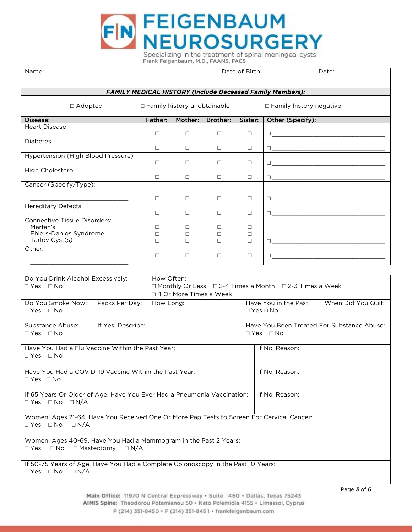

| Date of Birth:<br>Name:<br>Date:                                                                                                |                   |                  |                          |                 |                      |                                                                         |                                                                                                                      |  |  |
|---------------------------------------------------------------------------------------------------------------------------------|-------------------|------------------|--------------------------|-----------------|----------------------|-------------------------------------------------------------------------|----------------------------------------------------------------------------------------------------------------------|--|--|
| <b>FAMILY MEDICAL HISTORY (Include Deceased Family Members):</b>                                                                |                   |                  |                          |                 |                      |                                                                         |                                                                                                                      |  |  |
| $\Box$ Adopted<br>$\Box$ Family history unobtainable<br>$\Box$ Family history negative                                          |                   |                  |                          |                 |                      |                                                                         |                                                                                                                      |  |  |
| Disease:                                                                                                                        |                   | <b>Father:</b>   | Mother:                  | <b>Brother:</b> | Sister:              | Other (Specify):                                                        |                                                                                                                      |  |  |
| <b>Heart Disease</b>                                                                                                            |                   | $\Box$           | $\Box$                   | $\Box$          | $\Box$               | $\Box$                                                                  |                                                                                                                      |  |  |
| <b>Diabetes</b>                                                                                                                 |                   | $\Box$           | $\Box$                   | $\Box$          | $\Box$               | $\Box$                                                                  | <u> 1989 - Jan James James Barbara, meny kaominina dia kaominina mpikambana ara-</u>                                 |  |  |
| Hypertension (High Blood Pressure)                                                                                              |                   | $\Box$           | $\Box$                   | $\Box$          | $\Box$               | $\Box$                                                                  | <u> 1989 - Jan James Barnett, mendekan berasar berasar berasar berasar berasar berasar berasar berasar berasar b</u> |  |  |
| High Cholesterol                                                                                                                |                   | $\Box$           | $\Box$                   | $\Box$          | $\Box$               |                                                                         |                                                                                                                      |  |  |
| Cancer (Specify/Type):                                                                                                          |                   |                  |                          |                 |                      |                                                                         |                                                                                                                      |  |  |
|                                                                                                                                 |                   | $\Box$           | $\Box$                   | $\Box$          | $\Box$               | $\Box$                                                                  |                                                                                                                      |  |  |
| <b>Hereditary Defects</b>                                                                                                       |                   | $\Box$           | $\Box$                   | □               | □                    | $\Box$                                                                  |                                                                                                                      |  |  |
| <b>Connective Tissue Disorders:</b><br>Marfan's<br>Ehlers-Danlos Syndrome                                                       |                   | $\Box$<br>$\Box$ | $\Box$<br>$\Box$         | □<br>$\Box$     | $\Box$<br>□          |                                                                         |                                                                                                                      |  |  |
| Tarlov Cyst(s)<br>Other:                                                                                                        |                   | $\Box$           | $\Box$                   | □               | $\Box$               |                                                                         |                                                                                                                      |  |  |
|                                                                                                                                 |                   | $\Box$           | $\Box$                   | $\Box$          | □                    |                                                                         |                                                                                                                      |  |  |
|                                                                                                                                 |                   |                  |                          |                 |                      |                                                                         |                                                                                                                      |  |  |
| Do You Drink Alcohol Excessively:<br>$\Box$ Yes $\Box$ No                                                                       |                   | How Often:       | □ 4 Or More Times a Week |                 |                      | $\Box$ Monthly Or Less $\Box$ 2-4 Times a Month $\Box$ 2-3 Times a Week |                                                                                                                      |  |  |
| Do You Smoke Now:<br>$\Box$ Yes $\Box$ No                                                                                       | Packs Per Day:    | How Long:        |                          |                 | $\Box$ Yes $\Box$ No | Have You in the Past:                                                   | When Did You Quit:                                                                                                   |  |  |
| Substance Abuse:<br>$\Box$ Yes $\Box$ No                                                                                        | If Yes, Describe: |                  |                          |                 |                      | $\Box$ Yes $\Box$ No                                                    | Have You Been Treated For Substance Abuse:                                                                           |  |  |
| Have You Had a Flu Vaccine Within the Past Year:<br>$\Box$ Yes $\Box$ No                                                        |                   |                  |                          |                 |                      | If No, Reason:                                                          |                                                                                                                      |  |  |
| Have You Had a COVID-19 Vaccine Within the Past Year:<br>$\Box$ Yes $\Box$ No                                                   |                   |                  |                          |                 |                      | If No, Reason:                                                          |                                                                                                                      |  |  |
| If 65 Years Or Older of Age, Have You Ever Had a Pneumonia Vaccination:<br>If No, Reason:<br>$\Box$ Yes $\Box$ No $\Box$ N/A    |                   |                  |                          |                 |                      |                                                                         |                                                                                                                      |  |  |
| Women, Ages 21-64, Have You Received One Or More Pap Tests to Screen For Cervical Cancer:<br>$\Box$ Yes $\Box$ No<br>$\Box N/A$ |                   |                  |                          |                 |                      |                                                                         |                                                                                                                      |  |  |
| Women, Ages 40-69, Have You Had a Mammogram in the Past 2 Years:<br>$\Box$ No<br>$\Box$ Mastectomy $\Box$ N/A<br>$\Box$ Yes     |                   |                  |                          |                 |                      |                                                                         |                                                                                                                      |  |  |
| If 50-75 Years of Age, Have You Had a Complete Colonoscopy in the Past 10 Years:<br>$\Box$ Yes $\Box$ No<br>$\Box N/A$          |                   |                  |                          |                 |                      |                                                                         |                                                                                                                      |  |  |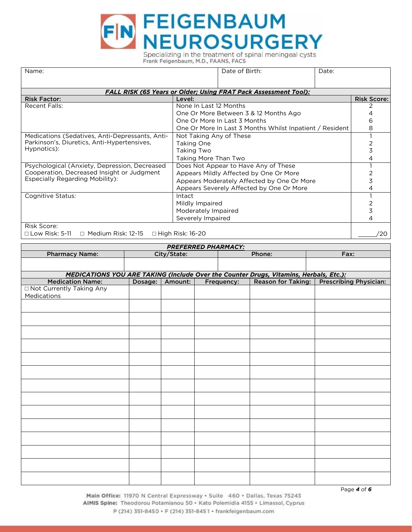

| Name:                                                           | Date of Birth:<br>Date:                                         |                    |
|-----------------------------------------------------------------|-----------------------------------------------------------------|--------------------|
|                                                                 | FALL RISK (65 Years or Older; Using FRAT Pack Assessment Tool): |                    |
| <b>Risk Factor:</b>                                             | Level:                                                          | <b>Risk Score:</b> |
| <b>Recent Falls:</b>                                            | None In Last 12 Months                                          |                    |
|                                                                 | One Or More Between 3 & 12 Months Ago                           |                    |
|                                                                 | One Or More In Last 3 Months                                    | 6                  |
|                                                                 | One Or More In Last 3 Months Whilst Inpatient / Resident        | 8                  |
| Medications (Sedatives, Anti-Depressants, Anti-                 | Not Taking Any of These                                         |                    |
| Parkinson's, Diuretics, Anti-Hypertensives,                     | Taking One                                                      |                    |
| Hypnotics):                                                     | Taking Two                                                      | 3                  |
|                                                                 | Taking More Than Two                                            |                    |
| Psychological (Anxiety, Depression, Decreased                   | Does Not Appear to Have Any of These                            |                    |
| Cooperation, Decreased Insight or Judgment                      | Appears Mildly Affected by One Or More                          |                    |
| <b>Especially Regarding Mobility:</b>                           | Appears Moderately Affected by One Or More                      | 3                  |
|                                                                 | Appears Severely Affected by One Or More                        |                    |
| Cognitive Status:                                               | Intact                                                          |                    |
|                                                                 | Mildly Impaired                                                 |                    |
|                                                                 | Moderately Impaired                                             |                    |
|                                                                 | Severely Impaired                                               |                    |
| Risk Score:<br>— I D'I E 11 — M I' D'I 10.1 E — II' I D'I 10.00 |                                                                 | $\sim$             |

 $\Box$  Low Risk: 5-11 □ Low Risk: 5-11 □ Medium Risk: 12-15 □ High Risk: 16-20 \_\_\_\_\_/20

 $\overline{\phantom{a}}$ 

| <b>PREFERRED PHARMACY:</b>                                                            |         |             |  |            |        |                                             |  |  |  |  |
|---------------------------------------------------------------------------------------|---------|-------------|--|------------|--------|---------------------------------------------|--|--|--|--|
| <b>Pharmacy Name:</b>                                                                 |         | City/State: |  |            | Phone: | Fax:                                        |  |  |  |  |
|                                                                                       |         |             |  |            |        |                                             |  |  |  |  |
|                                                                                       |         |             |  |            |        |                                             |  |  |  |  |
| MEDICATIONS YOU ARE TAKING (Include Over the Counter Drugs, Vitamins, Herbals, Etc.): |         |             |  |            |        |                                             |  |  |  |  |
| <b>Medication Name:</b>                                                               | Dosage: | Amount:     |  | Frequency: |        | Reason for Taking:   Prescribing Physician: |  |  |  |  |
| □ Not Currently Taking Any                                                            |         |             |  |            |        |                                             |  |  |  |  |
| Medications                                                                           |         |             |  |            |        |                                             |  |  |  |  |
|                                                                                       |         |             |  |            |        |                                             |  |  |  |  |
|                                                                                       |         |             |  |            |        |                                             |  |  |  |  |
|                                                                                       |         |             |  |            |        |                                             |  |  |  |  |
|                                                                                       |         |             |  |            |        |                                             |  |  |  |  |
|                                                                                       |         |             |  |            |        |                                             |  |  |  |  |
|                                                                                       |         |             |  |            |        |                                             |  |  |  |  |
|                                                                                       |         |             |  |            |        |                                             |  |  |  |  |
|                                                                                       |         |             |  |            |        |                                             |  |  |  |  |
|                                                                                       |         |             |  |            |        |                                             |  |  |  |  |
|                                                                                       |         |             |  |            |        |                                             |  |  |  |  |
|                                                                                       |         |             |  |            |        |                                             |  |  |  |  |
|                                                                                       |         |             |  |            |        |                                             |  |  |  |  |
|                                                                                       |         |             |  |            |        |                                             |  |  |  |  |
|                                                                                       |         |             |  |            |        |                                             |  |  |  |  |
|                                                                                       |         |             |  |            |        |                                             |  |  |  |  |
|                                                                                       |         |             |  |            |        |                                             |  |  |  |  |
|                                                                                       |         |             |  |            |        |                                             |  |  |  |  |
|                                                                                       |         |             |  |            |        |                                             |  |  |  |  |
|                                                                                       |         |             |  |            |        |                                             |  |  |  |  |
|                                                                                       |         |             |  |            |        |                                             |  |  |  |  |
|                                                                                       |         |             |  |            |        |                                             |  |  |  |  |
|                                                                                       |         |             |  |            |        |                                             |  |  |  |  |
|                                                                                       |         |             |  |            |        |                                             |  |  |  |  |

*Page 4 of 6*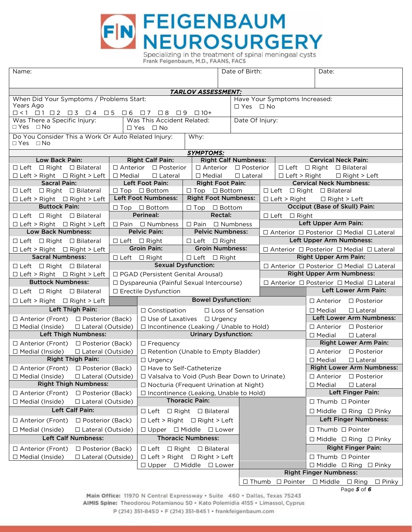

| Name:                                                                                                                                 |               |                                                                               |                                                        |                | Date of Birth:                   |                                                                                        |                                                                 | Date:                                                                                                         |  |
|---------------------------------------------------------------------------------------------------------------------------------------|---------------|-------------------------------------------------------------------------------|--------------------------------------------------------|----------------|----------------------------------|----------------------------------------------------------------------------------------|-----------------------------------------------------------------|---------------------------------------------------------------------------------------------------------------|--|
|                                                                                                                                       |               |                                                                               |                                                        |                |                                  |                                                                                        |                                                                 |                                                                                                               |  |
|                                                                                                                                       |               |                                                                               | <b>TARLOV ASSESSMENT:</b>                              |                |                                  |                                                                                        |                                                                 |                                                                                                               |  |
| When Did Your Symptoms / Problems Start:                                                                                              |               |                                                                               |                                                        |                |                                  |                                                                                        | Have Your Symptoms Increased:                                   |                                                                                                               |  |
| Years Ago                                                                                                                             |               |                                                                               | $\Box$ Yes $\Box$ No                                   |                |                                  |                                                                                        |                                                                 |                                                                                                               |  |
| $\Box$ <1 $\Box$ 1 $\Box$ 2 $\Box$ 3 $\Box$ 4 $\Box$ 5 $\Box$ 6 $\Box$ 7 $\Box$ 8 $\Box$ 9 $\Box$ 10+<br>Was There a Specific Injury: |               | Was This Accident Related:                                                    |                                                        |                | Date Of Injury:                  |                                                                                        |                                                                 |                                                                                                               |  |
| $\Box$ Yes $\Box$ No                                                                                                                  |               | $\Box$ Yes $\Box$ No                                                          |                                                        |                |                                  |                                                                                        |                                                                 |                                                                                                               |  |
| Do You Consider This a Work Or Auto Related Injury:                                                                                   |               |                                                                               | Why:                                                   |                |                                  |                                                                                        |                                                                 |                                                                                                               |  |
| $\Box$ Yes $\Box$ No                                                                                                                  |               |                                                                               |                                                        |                |                                  |                                                                                        |                                                                 |                                                                                                               |  |
|                                                                                                                                       |               |                                                                               | <b>SYMPTOMS:</b>                                       |                |                                  |                                                                                        |                                                                 |                                                                                                               |  |
| Low Back Pain:                                                                                                                        |               | <b>Right Calf Pain:</b>                                                       |                                                        |                | <b>Right Calf Numbness:</b>      |                                                                                        |                                                                 | <b>Cervical Neck Pain:</b>                                                                                    |  |
| $\Box$ Left $\Box$ Right $\Box$ Bilateral                                                                                             |               | $\Box$ Anterior $\Box$ Posterior                                              |                                                        |                | $\Box$ Anterior $\Box$ Posterior |                                                                                        |                                                                 | $\Box$ Left $\Box$ Right $\Box$ Bilateral                                                                     |  |
| $\Box$ Left > Right $\Box$ Right > Left                                                                                               | $\Box$ Medial | $\Box$ Lateral                                                                | $\Box$ Medial                                          |                | $\Box$ Lateral                   |                                                                                        | $\Box$ Left > Right                                             | $\Box$ Right > Left                                                                                           |  |
| <b>Sacral Pain:</b>                                                                                                                   |               | Left Foot Pain:                                                               | <b>Right Foot Pain:</b>                                |                |                                  |                                                                                        |                                                                 | <b>Cervical Neck Numbness:</b>                                                                                |  |
| □ Left □ Right □ Bilateral                                                                                                            |               | $\Box$ Top $\Box$ Bottom                                                      | $\Box$ Top $\Box$ Bottom                               |                |                                  |                                                                                        |                                                                 | $\Box$ Left $\Box$ Right $\Box$ Bilateral                                                                     |  |
| $\Box$ Left > Right $\Box$ Right > Left                                                                                               |               | <b>Left Foot Numbness:</b>                                                    | <b>Right Foot Numbness:</b>                            |                |                                  |                                                                                        | $\Box$ Left > Right                                             | $\Box$ Right > Left                                                                                           |  |
| <b>Buttock Pain:</b>                                                                                                                  |               | $\Box$ Top $\Box$ Bottom                                                      | $\Box$ Top $\Box$ Bottom                               |                |                                  |                                                                                        |                                                                 | Occiput (Base of Skull) Pain:                                                                                 |  |
| □ Left □ Right □ Bilateral                                                                                                            |               | Perineal:                                                                     |                                                        | <b>Rectal:</b> |                                  |                                                                                        | $\Box$ Left $\Box$ Right                                        |                                                                                                               |  |
| $\Box$ Left > Right $\Box$ Right > Left<br><b>Low Back Numbness:</b>                                                                  |               | $\Box$ Pain $\Box$ Numbness<br><b>Pelvic Pain:</b>                            | $\Box$ Pain $\Box$ Numbness<br><b>Pelvic Numbness:</b> |                |                                  |                                                                                        |                                                                 | Left Upper Arm Pain:                                                                                          |  |
|                                                                                                                                       |               |                                                                               |                                                        |                |                                  |                                                                                        |                                                                 | $\Box$ Anterior $\Box$ Posterior $\Box$ Medial $\Box$ Lateral                                                 |  |
| $\Box$ Left $\Box$ Right $\Box$ Bilateral                                                                                             |               | □ Left □ Right                                                                | $\Box$ Left $\Box$ Right                               |                |                                  |                                                                                        |                                                                 | Left Upper Arm Numbness:                                                                                      |  |
| $\Box$ Left > Right $\Box$ Right > Left<br><b>Sacral Numbness:</b>                                                                    |               | <b>Groin Pain:</b>                                                            | <b>Groin Numbness:</b>                                 |                |                                  | $\Box$ Anterior $\Box$ Posterior $\Box$ Medial $\Box$ Lateral<br>Right Upper Arm Pain: |                                                                 |                                                                                                               |  |
|                                                                                                                                       |               | $\Box$ Left $\Box$ Right                                                      | $\Box$ Left $\Box$ Right                               |                |                                  |                                                                                        |                                                                 |                                                                                                               |  |
| <b>Sexual Dysfunction:</b><br>□ Left □ Right □ Bilateral                                                                              |               |                                                                               |                                                        |                |                                  |                                                                                        |                                                                 | □ Anterior □ Posterior □ Medial □ Lateral<br><b>Right Upper Arm Numbness:</b>                                 |  |
| □ PGAD (Persistent Genital Arousal)<br>$\Box$ Left > Right $\Box$ Right > Left<br><b>Buttock Numbness:</b>                            |               |                                                                               |                                                        |                |                                  |                                                                                        |                                                                 |                                                                                                               |  |
|                                                                                                                                       |               | □ Dyspareunia (Painful Sexual Intercourse)                                    |                                                        |                |                                  |                                                                                        |                                                                 | $\Box$ Anterior $\Box$ Posterior $\Box$ Medial $\Box$ Lateral<br>Left Lower Arm Pain:                         |  |
| $\Box$ Left $\Box$ Right $\Box$ Bilateral                                                                                             |               | □ Erectile Dysfunction                                                        |                                                        |                |                                  |                                                                                        |                                                                 |                                                                                                               |  |
| $\Box$ Left > Right $\Box$ Right > Left                                                                                               |               |                                                                               | <b>Bowel Dysfunction:</b>                              |                |                                  |                                                                                        |                                                                 | $\Box$ Anterior $\Box$ Posterior                                                                              |  |
| Left Thigh Pain:                                                                                                                      |               | $\Box$ Constipation<br>□ Loss of Sensation                                    |                                                        |                |                                  |                                                                                        |                                                                 | $\Box$ Medial<br>$\Box$ Lateral                                                                               |  |
| □ Anterior (Front) □ Posterior (Back)                                                                                                 |               | $\Box$ Use of Laxatives $\Box$ Urgency                                        |                                                        |                |                                  |                                                                                        |                                                                 | Left Lower Arm Numbness:                                                                                      |  |
| $\Box$ Medial (Inside)<br>□ Lateral (Outside)<br><b>Left Thigh Numbness:</b>                                                          |               | $\Box$ Incontinence (Leaking / Unable to Hold)<br><b>Urinary Dysfunction:</b> |                                                        |                |                                  |                                                                                        |                                                                 | $\Box$ Posterior<br>$\Box$ Anterior                                                                           |  |
|                                                                                                                                       |               |                                                                               |                                                        |                |                                  |                                                                                        | $\Box$ Lateral<br>$\Box$ Medial<br><b>Right Lower Arm Pain:</b> |                                                                                                               |  |
| □ Anterior (Front) □ Posterior (Back)<br>$\Box$ Medial (Inside)<br>□ Lateral (Outside)                                                |               | $\Box$ Frequency<br>□ Retention (Unable to Empty Bladder)                     |                                                        |                |                                  |                                                                                        | $\Box$ Anterior<br>$\Box$ Posterior                             |                                                                                                               |  |
| <b>Right Thigh Pain:</b>                                                                                                              |               | $\Box$ Urgency                                                                |                                                        |                |                                  | $\Box$ Lateral<br>$\Box$ Medial                                                        |                                                                 |                                                                                                               |  |
| □ Anterior (Front)<br>□ Posterior (Back)                                                                                              |               | $\Box$ Have to Self-Catheterize                                               |                                                        |                |                                  |                                                                                        |                                                                 | <b>Right Lower Arm Numbness:</b>                                                                              |  |
| □ Medial (Inside)<br>$\Box$ Lateral (Outside)                                                                                         |               | $\Box$ Valsalva to Void (Push Bear Down to Urinate)                           |                                                        |                |                                  |                                                                                        |                                                                 | $\square$ Posterior<br>$\Box$ Anterior                                                                        |  |
| <b>Right Thigh Numbness:</b>                                                                                                          |               | □ Nocturia (Frequent Urination at Night)                                      |                                                        |                |                                  |                                                                                        |                                                                 | $\Box$ Medial<br>$\Box$ Lateral                                                                               |  |
| $\Box$ Anterior (Front)<br>□ Posterior (Back)                                                                                         |               | □ Incontinence (Leaking, Unable to Hold)                                      |                                                        |                |                                  |                                                                                        |                                                                 | Left Finger Pain:                                                                                             |  |
| $\Box$ Medial (Inside)<br>□ Lateral (Outside)                                                                                         |               |                                                                               | <b>Thoracic Pain:</b>                                  |                |                                  |                                                                                        |                                                                 | $\Box$ Thumb $\Box$ Pointer                                                                                   |  |
| Left Calf Pain:                                                                                                                       |               | □ Left □ Right □ Bilateral                                                    |                                                        |                |                                  |                                                                                        |                                                                 | $\Box$ Middle $\Box$ Ring $\Box$ Pinky                                                                        |  |
|                                                                                                                                       |               |                                                                               |                                                        |                |                                  |                                                                                        |                                                                 | Left Finger Numbness:                                                                                         |  |
| $\Box$ Anterior (Front)<br>□ Posterior (Back)                                                                                         |               | $\Box$ Left > Right $\Box$ Right > Left                                       |                                                        |                |                                  |                                                                                        |                                                                 |                                                                                                               |  |
| $\Box$ Medial (Inside)<br>$\Box$ Lateral (Outside)                                                                                    |               | $\Box$ Upper $\Box$ Middle $\Box$ Lower                                       |                                                        |                |                                  |                                                                                        |                                                                 | $\Box$ Thumb $\Box$ Pointer                                                                                   |  |
| <b>Left Calf Numbness:</b>                                                                                                            |               |                                                                               | <b>Thoracic Numbness:</b>                              |                |                                  |                                                                                        |                                                                 | $\Box$ Middle $\Box$ Ring $\Box$ Pinky                                                                        |  |
| $\Box$ Anterior (Front)<br>□ Posterior (Back)                                                                                         |               | $\Box$ Left $\Box$ Right $\Box$ Bilateral                                     |                                                        |                |                                  |                                                                                        |                                                                 | <b>Right Finger Pain:</b>                                                                                     |  |
| $\Box$ Medial (Inside)<br>$\Box$ Lateral (Outside)                                                                                    |               | $\Box$ Left > Right $\Box$ Right > Left                                       |                                                        |                |                                  |                                                                                        |                                                                 | $\Box$ Thumb $\Box$ Pointer                                                                                   |  |
|                                                                                                                                       |               | $\Box$ Upper $\Box$ Middle $\Box$ Lower                                       |                                                        |                |                                  |                                                                                        |                                                                 | $\Box$ Middle $\Box$ Ring $\Box$ Pinky                                                                        |  |
|                                                                                                                                       |               |                                                                               |                                                        |                |                                  |                                                                                        |                                                                 | <b>Right Finger Numbness:</b>                                                                                 |  |
|                                                                                                                                       |               |                                                                               |                                                        |                | $\Box$ Thumb                     |                                                                                        | $\Box$ Pointer                                                  | $\Box$ Middle $\Box$ Ring<br>$\Box$ Pinky<br>$D \cap \cap \cap \mathsf{E} \cap \mathsf{E} \subset \mathsf{E}$ |  |

Main Office: 11970 N Central Expressway · Suite 460 · Dallas, Texas 75243 AIMIS Spine: Theodorou Potamianou 50 · Kato Polemidia 4155 · Limassol, Cyprus P (214) 351-8450 · F (214) 351-8451 · frankfeigenbaum.com

*Page 5 of 6*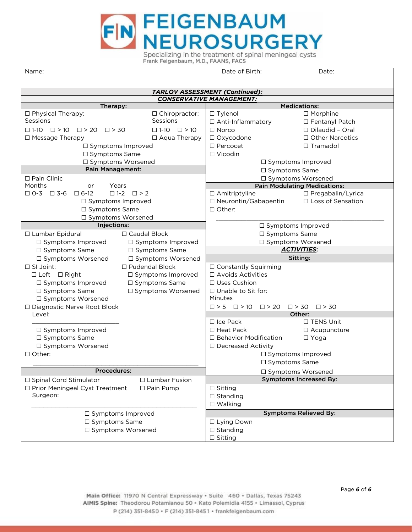

| Name:                                                                          | Date of Birth:<br>Date:                                                        |                                     |  |  |  |  |
|--------------------------------------------------------------------------------|--------------------------------------------------------------------------------|-------------------------------------|--|--|--|--|
|                                                                                |                                                                                |                                     |  |  |  |  |
|                                                                                | TARLOV ASSESSMENT (Continued):<br><b>CONSERVATIVE MANAGEMENT:</b>              |                                     |  |  |  |  |
| Therapy:                                                                       |                                                                                | <b>Medications:</b>                 |  |  |  |  |
| □ Chiropractor:<br>□ Physical Therapy:                                         | $\Box$ Tylenol                                                                 | $\Box$ Morphine                     |  |  |  |  |
| Sessions<br>Sessions                                                           | □ Anti-Inflammatory                                                            | □ Fentanyl Patch                    |  |  |  |  |
| $\Box 1-10 \quad \Box > 10$<br>$\Box$ 1-10 $\Box$ > 10 $\Box$ > 20 $\Box$ > 30 | $\Box$ Norco                                                                   | $\Box$ Dilaudid - Oral              |  |  |  |  |
| $\Box$ Aqua Therapy<br>$\Box$ Message Therapy                                  | □ Oxycodone                                                                    | $\Box$ Other Narcotics              |  |  |  |  |
| □ Symptoms Improved                                                            | $\square$ Percocet                                                             | $\Box$ Tramadol                     |  |  |  |  |
| $\Box$ Symptoms Same                                                           | $\Box$ Vicodin                                                                 |                                     |  |  |  |  |
| □ Symptoms Worsened                                                            | □ Symptoms Improved                                                            |                                     |  |  |  |  |
| <b>Pain Management:</b>                                                        | $\Box$ Symptoms Same                                                           |                                     |  |  |  |  |
| □ Pain Clinic                                                                  | □ Symptoms Worsened                                                            |                                     |  |  |  |  |
| Months<br>Years<br>or                                                          |                                                                                | <b>Pain Modulating Medications:</b> |  |  |  |  |
| $\Box$ 0-3 $\Box$ 3-6<br>$\square$ 6-12<br>$\square$ 1-2 $\square$ > 2         | $\Box$ Amitriptyline                                                           | □ Pregabalin/Lyrica                 |  |  |  |  |
| $\Box$ Symptoms Improved                                                       | $\Box$ Neurontin/Gabapentin                                                    | □ Loss of Sensation                 |  |  |  |  |
| □ Symptoms Same                                                                | $\Box$ Other:                                                                  |                                     |  |  |  |  |
| □ Symptoms Worsened                                                            |                                                                                |                                     |  |  |  |  |
| Injections:                                                                    | □ Symptoms Improved                                                            |                                     |  |  |  |  |
| □ Caudal Block<br>□ Lumbar Epidural                                            | □ Symptoms Same                                                                |                                     |  |  |  |  |
| $\Box$ Symptoms Improved<br>$\Box$ Symptoms Improved                           | □ Symptoms Worsened                                                            |                                     |  |  |  |  |
| $\Box$ Symptoms Same<br>$\Box$ Symptoms Same                                   |                                                                                | <b>ACTIVITIES:</b>                  |  |  |  |  |
| □ Symptoms Worsened<br>□ Symptoms Worsened                                     |                                                                                | Sitting:                            |  |  |  |  |
| $\Box$ SI Joint:<br>$\Box$ Pudendal Block                                      | $\Box$ Constantly Squirming                                                    |                                     |  |  |  |  |
| $\Box$ Left $\Box$ Right<br>□ Symptoms Improved                                | $\Box$ Avoids Activities                                                       |                                     |  |  |  |  |
| $\Box$ Symptoms Improved<br>$\Box$ Symptoms Same                               | □ Uses Cushion                                                                 |                                     |  |  |  |  |
| $\Box$ Symptoms Same<br>$\Box$ Symptoms Worsened                               | □ Unable to Sit for:                                                           |                                     |  |  |  |  |
| □ Symptoms Worsened                                                            | Minutes                                                                        |                                     |  |  |  |  |
| □ Diagnostic Nerve Root Block                                                  | $\Box > 5 \quad \Box > 10 \quad \Box > 20$<br>$\square$ > 30<br>$\square$ > 30 |                                     |  |  |  |  |
| Level:                                                                         | Other:                                                                         |                                     |  |  |  |  |
|                                                                                | $\Box$ Ice Pack                                                                | $\Box$ TENS Unit                    |  |  |  |  |
| $\Box$ Symptoms Improved                                                       | $\Box$ Heat Pack                                                               | $\Box$ Acupuncture                  |  |  |  |  |
| □ Symptoms Same                                                                | $\Box$ Behavior Modification                                                   | $\Box$ Yoga                         |  |  |  |  |
| □ Symptoms Worsened                                                            | □ Decreased Activity                                                           |                                     |  |  |  |  |
| $\Box$ Other:                                                                  | □ Symptoms Improved                                                            |                                     |  |  |  |  |
|                                                                                | □ Symptoms Same                                                                |                                     |  |  |  |  |
| Procedures:                                                                    | □ Symptoms Worsened                                                            |                                     |  |  |  |  |
| □ Spinal Cord Stimulator<br>□ Lumbar Fusion                                    |                                                                                | <b>Symptoms Increased By:</b>       |  |  |  |  |
| □ Prior Meningeal Cyst Treatment<br>$\Box$ Pain Pump                           | $\Box$ Sitting                                                                 |                                     |  |  |  |  |
| Surgeon:                                                                       | $\Box$ Standing                                                                |                                     |  |  |  |  |
|                                                                                | $\square$ Walking                                                              |                                     |  |  |  |  |
| □ Symptoms Improved                                                            |                                                                                | <b>Symptoms Relieved By:</b>        |  |  |  |  |
| □ Symptoms Same                                                                | □ Lying Down                                                                   |                                     |  |  |  |  |
| □ Symptoms Worsened                                                            | $\Box$ Standing                                                                |                                     |  |  |  |  |
|                                                                                | $\square$ Sitting                                                              |                                     |  |  |  |  |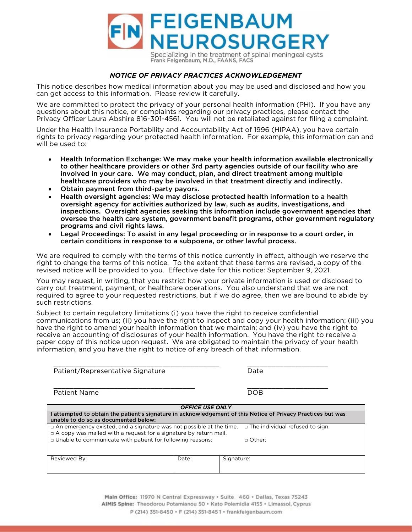

## NOTICE OF PRIVACY PRACTICES ACKNOWLEDGEMENT

This notice describes how medical information about you may be used and disclosed and how you can get access to this information. Please review it carefully.

We are committed to protect the privacy of your personal health information (PHI). If you have any guestions about this notice, or complaints regarding our privacy practices, please contact the Privacy Officer Laura Abshire 816-301-4561. You will not be retaliated against for filing a complaint.

Under the Health Insurance Portability and Accountability Act of 1996 (HIPAA), you have certain rights to privacy regarding your protected health information. For example, this information can and will be used to:

- Health Information Exchange: We may make your health information available electronically to other healthcare providers or other 3rd party agencies outside of our facility who are involved in your care. We may conduct, plan, and direct treatment among multiple healthcare providers who may be involved in that treatment directly and indirectly.
- Obtain payment from third-party payors.
- Health oversight agencies: We may disclose protected health information to a health oversight agency for activities authorized by law, such as audits, investigations, and inspections. Oversight agencies seeking this information include government agencies that oversee the health care system, government benefit programs, other government regulatory programs and civil rights laws.
- Legal Proceedings: To assist in any legal proceeding or in response to a court order, in certain conditions in response to a subpoena, or other lawful process.

We are required to comply with the terms of this notice currently in effect, although we reserve the right to change the terms of this notice. To the extent that these terms are revised, a copy of the revised notice will be provided to you. Effective date for this notice: September 9, 2021.

You may request, in writing, that you restrict how your private information is used or disclosed to carry out treatment, payment, or healthcare operations. You also understand that we are not required to agree to your requested restrictions, but if we do agree, then we are bound to abide by such restrictions.

Subject to certain regulatory limitations (i) you have the right to receive confidential communications from us; (ii) you have the right to inspect and copy your health information; (iii) you have the right to amend your health information that we maintain; and (iv) you have the right to receive an accounting of disclosures of your health information. You have the right to receive a paper copy of this notice upon request. We are obligated to maintain the privacy of your health information, and you have the right to notice of any breach of that information. information, and you have the right to notice of any breach of that information.

| Patient/Representative Signature                                                                                  |                 | Date                                                                                                       |  |  |  |  |  |  |
|-------------------------------------------------------------------------------------------------------------------|-----------------|------------------------------------------------------------------------------------------------------------|--|--|--|--|--|--|
| Patient Name                                                                                                      |                 | <b>DOB</b>                                                                                                 |  |  |  |  |  |  |
| <b>OFFICE USE ONLY</b>                                                                                            |                 |                                                                                                            |  |  |  |  |  |  |
| unable to do so as documented below:                                                                              |                 | attempted to obtain the patient's signature in acknowledgement of this Notice of Privacy Practices but was |  |  |  |  |  |  |
| $\Box$ An emergency existed, and a signature was not possible at the time. $\Box$ The individual refused to sign. |                 |                                                                                                            |  |  |  |  |  |  |
| $\Box$ A copy was mailed with a request for a signature by return mail.                                           |                 |                                                                                                            |  |  |  |  |  |  |
| In Unable to communicate with patient for following reasons:                                                      | $\sqcap$ Other: |                                                                                                            |  |  |  |  |  |  |
|                                                                                                                   |                 |                                                                                                            |  |  |  |  |  |  |
| Reviewed By:                                                                                                      | Date:           | Signature:                                                                                                 |  |  |  |  |  |  |
|                                                                                                                   |                 |                                                                                                            |  |  |  |  |  |  |

Main Office: 11970 N Central Expressway · Suite 460 · Dallas, Texas 75243 AIMIS Spine: Theodorou Potamianou 50 · Kato Polemidia 4155 · Limassol, Cyprus P (214) 351-8450 · F (214) 351-8451 · frankfeigenbaum.com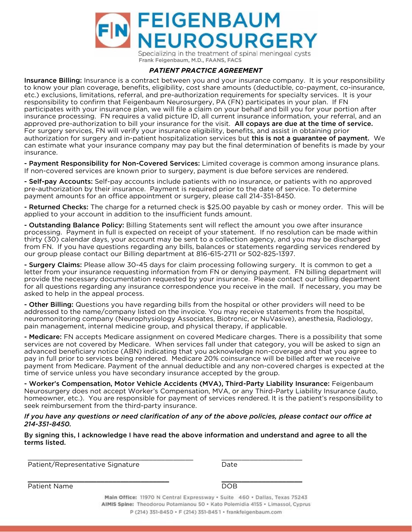

Frank Feigenbaum, M.D., FAANS, FACS

**Insurance Billing:** Insurance is a contract between you and your insurance company. It is your responsibility<br>To know your plan coverage, benefits, eligibility, cost share amounts (deductible, co-payment, co-insurance, to know your plan coverage, benefits, eligibility, cost share amounts (deductible, co-payment, co-insurance, etc.) exclusions, limitations, referral, and pre-authorization requirements for specialty services. It is your responsibility to confirm that Feigenbaum Neurosurgery, PA (FN) participates in your plan. If FN participates with your insurance plan, we will file a claim on your behalf and bill you for your portion after insurance processing. FN requires a valid picture ID, all current insurance information, your referral, and an approved pre-authorization to bill your insurance for the visit. All copays are due at the time of service.<br>For surgery services FN will verify your insurance eligibility benefits and assist in obtaining prior authorization for surgery and in-patient hospitalization services but **this is not a guarantee of payment.** We<br>can estimate what your insurance company may pay but the final determination of benefits is made by your can estimate what your insurance company may pay but the final determination of benefits in made by your<br>insurance.

insurance. **- Payment Responsibility for Non-Covered Services:** Limited coverage is common among insurance plans.<br>If non-covered services are known prior to surgery, payment is due before services are rendered.

If non-covered services are known prior to surgery, payment is due before services are rendered. **- Self-pay Accounts:** Self-pay accounts include patients with no insurance, or patients with no approved<br>pre-authorization by their insurance. Payment is required prior to the date of service. To determine pre-authorization by their insurance. Payment is required prior to the date of service. To determine payment amounts for an office appointment or surgery, please call 214-351-8450.

payment amounts for an office appointment or surgery, please call 214-351-8450. **- Returned Checks:** The charge for a returned check is \$25.00 payable by cash or money order. This will be a<br>applied to your account in addition to the insufficient funds amount

applied to your account in addition to the insufficient funds amount. **- Outstanding Balance Policy:** Billing Statements sent will reflect the amount you owe after insurance<br>processing - Payment in full is expected on receipt of your statement - If no resolution can be made wi processing. Payment in full is expected on receipt of your statement. If no resolution can be made within thirty (30) calendar days, your account may be sent to a collection agency, and you may be discharged from FN. If you have questions regarding any bills, balances or statements regarding services rendered by our group please contact our Billing department at 816-615-2711 or 502-825-1397.

our group please contact our Billing department at 816-615-2711 or 502-825-1397. In the 816-615-2711 or 502-82 **- Surgery Claims:** Please allow 30-45 days for claim processing following surgery. It is common to get a<br>letter from your insurance requesting information from FN or denying payment. FN billing department w letter from your insurance requesting information from FN or denying payment. FN billing department will provide the necessary documentation requested by your insurance. Please contact our billing department for all questions regarding any insurance correspondence you receive in the mail. If necessary, you may be asked to help in the appeal process.

asked to help in the appeal process. **- Other Billing:** Questions you have regarding bills from the hospital or other providers will need to be<br>addressed to the name/company listed on the invoice. You may receive statements from the hospital addressed to the name/company listed on the invoice. You may receive statements from the hospital, neuromonitoring company (Neurophysiology Associates, Biotronic, or NuVasive), anesthesia, Radiology, pain management, internal medicine group, and physical therapy, if applicable.

pain management, internal medicine group, and physical therapy, if applicable. **- Medicare:** FN accepts Medicare assignment on covered Medicare charges. There is a possibility that some<br>services are not covered by Medicare When services fall under that category, you will be asked to sign an services are not covered by Medicare. When services fall under that category, you will be asked to sign an advanced beneficiary notice (ABN) indicating that you acknowledge non-coverage and that you agree to pay in full prior to services being rendered. Medicare 20% coinsurance will be billed after we receive payment from Medicare. Payment of the annual deductible and any non-covered charges is expected at the time of service unless you have secondary insurance accepted by the group.

time of service unless you have secondary insurance accepted by the group. - Worker's Compensation, Motor Vehicle Accidents (MVA), Third-Party Liability Insurance: Feigenbaum<br>Neurosurgery does not accept Worker's Compensation, MVA, or any Third-Party Liability Insurance (auto Neurosurgery does not accept Worker's Compensation, MVA, or any Third-Party Liability Insurance (auto,<br>homeowner, etc.). You are responsible for payment of services rendered. It is the patient's responsibility to seek reimbursement from the third-party insurance.

 $\frac{1}{2}$ *If you have any questions or need clarification of any of the above policies, please contact our office at 214-351-8450.* 

By signing this, I acknowledge I have read the above information and understand and agree to all the terms listed.

Patient/Representative Signature and the state of Date Patient/Representative Signature Date

Patient Name and the set of the set of the set of the set of the set of the set of the set of the set of the s

Main Office: 11970 N Central Expressway · Suite 460 · Dallas, Texas 75243 AIMIS Spine: Theodorou Potamianou 50 · Kato Polemidia 4155 · Limassol, Cyprus P (214) 351-8450 · F (214) 351-8451 · frankfeigenbaum.com